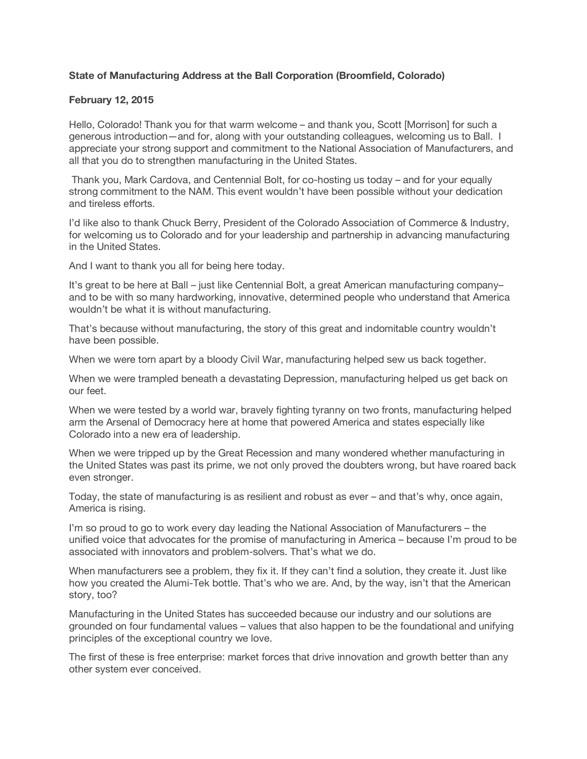## **State of Manufacturing Address at the Ball Corporation (Broomfield, Colorado)**

## **February 12, 2015**

Hello, Colorado! Thank you for that warm welcome – and thank you, Scott [Morrison] for such a generous introduction—and for, along with your outstanding colleagues, welcoming us to Ball. I appreciate your strong support and commitment to the National Association of Manufacturers, and all that you do to strengthen manufacturing in the United States.

 Thank you, Mark Cardova, and Centennial Bolt, for co-hosting us today – and for your equally strong commitment to the NAM. This event wouldn't have been possible without your dedication and tireless efforts.

I'd like also to thank Chuck Berry, President of the Colorado Association of Commerce & Industry, for welcoming us to Colorado and for your leadership and partnership in advancing manufacturing in the United States.

And I want to thank you all for being here today.

It's great to be here at Ball – just like Centennial Bolt, a great American manufacturing company– and to be with so many hardworking, innovative, determined people who understand that America wouldn't be what it is without manufacturing.

That's because without manufacturing, the story of this great and indomitable country wouldn't have been possible.

When we were torn apart by a bloody Civil War, manufacturing helped sew us back together.

When we were trampled beneath a devastating Depression, manufacturing helped us get back on our feet.

When we were tested by a world war, bravely fighting tyranny on two fronts, manufacturing helped arm the Arsenal of Democracy here at home that powered America and states especially like Colorado into a new era of leadership.

When we were tripped up by the Great Recession and many wondered whether manufacturing in the United States was past its prime, we not only proved the doubters wrong, but have roared back even stronger.

Today, the state of manufacturing is as resilient and robust as ever – and that's why, once again, America is rising.

I'm so proud to go to work every day leading the National Association of Manufacturers – the unified voice that advocates for the promise of manufacturing in America – because I'm proud to be associated with innovators and problem-solvers. That's what we do.

When manufacturers see a problem, they fix it. If they can't find a solution, they create it. Just like how you created the Alumi-Tek bottle. That's who we are. And, by the way, isn't that the American story, too?

Manufacturing in the United States has succeeded because our industry and our solutions are grounded on four fundamental values – values that also happen to be the foundational and unifying principles of the exceptional country we love.

The first of these is free enterprise: market forces that drive innovation and growth better than any other system ever conceived.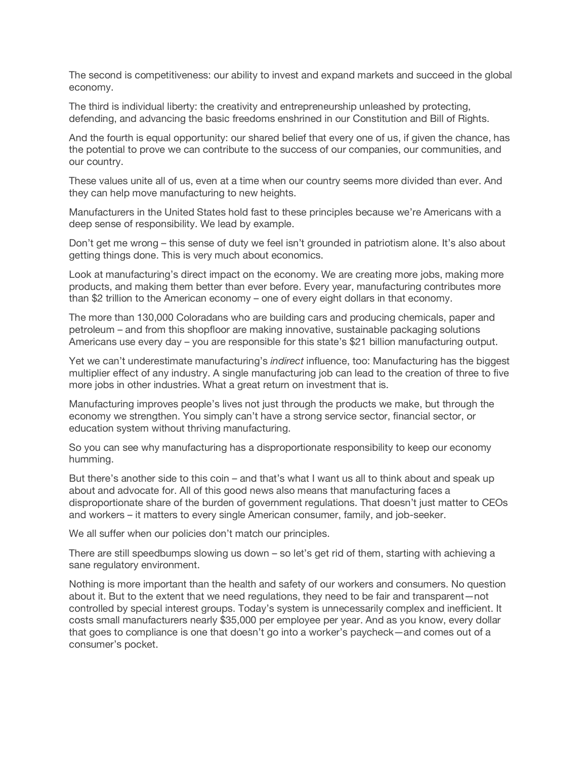The second is competitiveness: our ability to invest and expand markets and succeed in the global economy.

The third is individual liberty: the creativity and entrepreneurship unleashed by protecting, defending, and advancing the basic freedoms enshrined in our Constitution and Bill of Rights.

And the fourth is equal opportunity: our shared belief that every one of us, if given the chance, has the potential to prove we can contribute to the success of our companies, our communities, and our country.

These values unite all of us, even at a time when our country seems more divided than ever. And they can help move manufacturing to new heights.

Manufacturers in the United States hold fast to these principles because we're Americans with a deep sense of responsibility. We lead by example.

Don't get me wrong – this sense of duty we feel isn't grounded in patriotism alone. It's also about getting things done. This is very much about economics.

Look at manufacturing's direct impact on the economy. We are creating more jobs, making more products, and making them better than ever before. Every year, manufacturing contributes more than \$2 trillion to the American economy – one of every eight dollars in that economy.

The more than 130,000 Coloradans who are building cars and producing chemicals, paper and petroleum – and from this shopfloor are making innovative, sustainable packaging solutions Americans use every day – you are responsible for this state's \$21 billion manufacturing output.

Yet we can't underestimate manufacturing's *indirect* influence, too: Manufacturing has the biggest multiplier effect of any industry. A single manufacturing job can lead to the creation of three to five more jobs in other industries. What a great return on investment that is.

Manufacturing improves people's lives not just through the products we make, but through the economy we strengthen. You simply can't have a strong service sector, financial sector, or education system without thriving manufacturing.

So you can see why manufacturing has a disproportionate responsibility to keep our economy humming.

But there's another side to this coin – and that's what I want us all to think about and speak up about and advocate for. All of this good news also means that manufacturing faces a disproportionate share of the burden of government regulations. That doesn't just matter to CEOs and workers – it matters to every single American consumer, family, and job-seeker.

We all suffer when our policies don't match our principles.

There are still speedbumps slowing us down – so let's get rid of them, starting with achieving a sane regulatory environment.

Nothing is more important than the health and safety of our workers and consumers. No question about it. But to the extent that we need regulations, they need to be fair and transparent—not controlled by special interest groups. Today's system is unnecessarily complex and inefficient. It costs small manufacturers nearly \$35,000 per employee per year. And as you know, every dollar that goes to compliance is one that doesn't go into a worker's paycheck—and comes out of a consumer's pocket.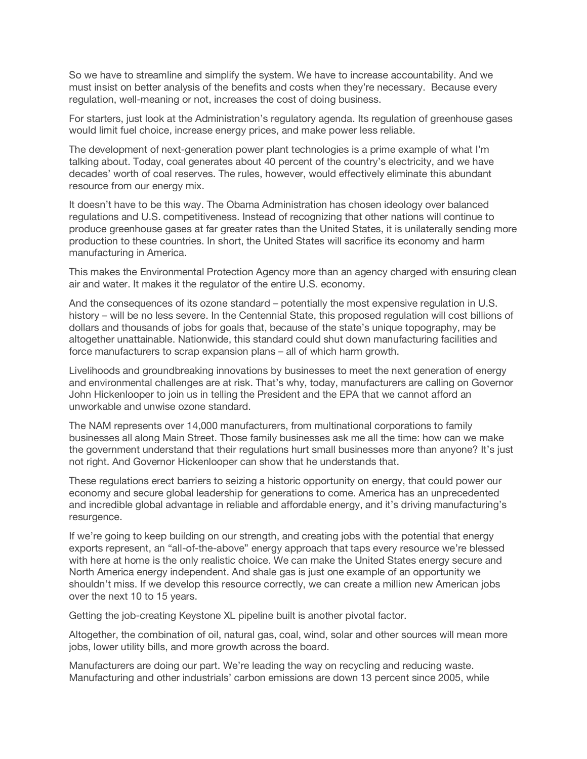So we have to streamline and simplify the system. We have to increase accountability. And we must insist on better analysis of the benefits and costs when they're necessary. Because every regulation, well-meaning or not, increases the cost of doing business.

For starters, just look at the Administration's regulatory agenda. Its regulation of greenhouse gases would limit fuel choice, increase energy prices, and make power less reliable.

The development of next-generation power plant technologies is a prime example of what I'm talking about. Today, coal generates about 40 percent of the country's electricity, and we have decades' worth of coal reserves. The rules, however, would effectively eliminate this abundant resource from our energy mix.

It doesn't have to be this way. The Obama Administration has chosen ideology over balanced regulations and U.S. competitiveness. Instead of recognizing that other nations will continue to produce greenhouse gases at far greater rates than the United States, it is unilaterally sending more production to these countries. In short, the United States will sacrifice its economy and harm manufacturing in America.

This makes the Environmental Protection Agency more than an agency charged with ensuring clean air and water. It makes it the regulator of the entire U.S. economy.

And the consequences of its ozone standard – potentially the most expensive regulation in U.S. history – will be no less severe. In the Centennial State, this proposed regulation will cost billions of dollars and thousands of jobs for goals that, because of the state's unique topography, may be altogether unattainable. Nationwide, this standard could shut down manufacturing facilities and force manufacturers to scrap expansion plans – all of which harm growth.

Livelihoods and groundbreaking innovations by businesses to meet the next generation of energy and environmental challenges are at risk. That's why, today, manufacturers are calling on Governor John Hickenlooper to join us in telling the President and the EPA that we cannot afford an unworkable and unwise ozone standard.

The NAM represents over 14,000 manufacturers, from multinational corporations to family businesses all along Main Street. Those family businesses ask me all the time: how can we make the government understand that their regulations hurt small businesses more than anyone? It's just not right. And Governor Hickenlooper can show that he understands that.

These regulations erect barriers to seizing a historic opportunity on energy, that could power our economy and secure global leadership for generations to come. America has an unprecedented and incredible global advantage in reliable and affordable energy, and it's driving manufacturing's resurgence.

If we're going to keep building on our strength, and creating jobs with the potential that energy exports represent, an "all-of-the-above" energy approach that taps every resource we're blessed with here at home is the only realistic choice. We can make the United States energy secure and North America energy independent. And shale gas is just one example of an opportunity we shouldn't miss. If we develop this resource correctly, we can create a million new American jobs over the next 10 to 15 years.

Getting the job-creating Keystone XL pipeline built is another pivotal factor.

Altogether, the combination of oil, natural gas, coal, wind, solar and other sources will mean more jobs, lower utility bills, and more growth across the board.

Manufacturers are doing our part. We're leading the way on recycling and reducing waste. Manufacturing and other industrials' carbon emissions are down 13 percent since 2005, while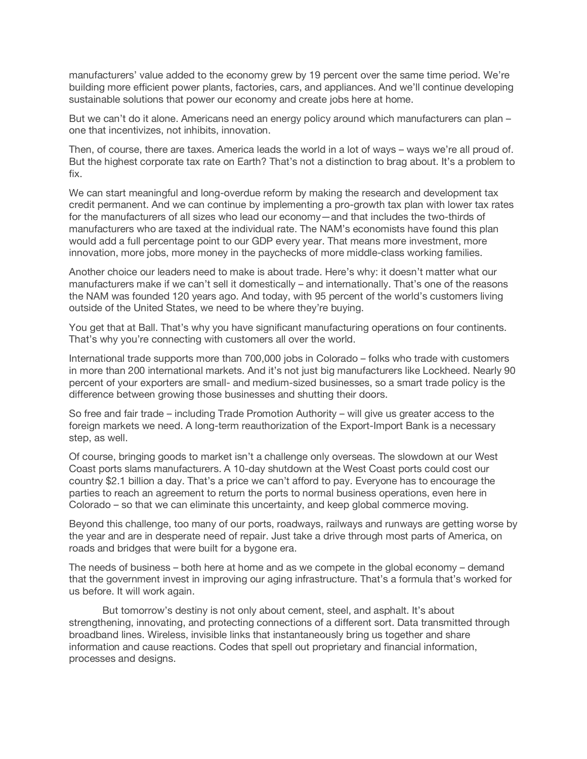manufacturers' value added to the economy grew by 19 percent over the same time period. We're building more efficient power plants, factories, cars, and appliances. And we'll continue developing sustainable solutions that power our economy and create jobs here at home.

But we can't do it alone. Americans need an energy policy around which manufacturers can plan – one that incentivizes, not inhibits, innovation.

Then, of course, there are taxes. America leads the world in a lot of ways – ways we're all proud of. But the highest corporate tax rate on Earth? That's not a distinction to brag about. It's a problem to fix.

We can start meaningful and long-overdue reform by making the research and development tax credit permanent. And we can continue by implementing a pro-growth tax plan with lower tax rates for the manufacturers of all sizes who lead our economy—and that includes the two-thirds of manufacturers who are taxed at the individual rate. The NAM's economists have found this plan would add a full percentage point to our GDP every year. That means more investment, more innovation, more jobs, more money in the paychecks of more middle-class working families.

Another choice our leaders need to make is about trade. Here's why: it doesn't matter what our manufacturers make if we can't sell it domestically – and internationally. That's one of the reasons the NAM was founded 120 years ago. And today, with 95 percent of the world's customers living outside of the United States, we need to be where they're buying.

You get that at Ball. That's why you have significant manufacturing operations on four continents. That's why you're connecting with customers all over the world.

International trade supports more than 700,000 jobs in Colorado – folks who trade with customers in more than 200 international markets. And it's not just big manufacturers like Lockheed. Nearly 90 percent of your exporters are small- and medium-sized businesses, so a smart trade policy is the difference between growing those businesses and shutting their doors.

So free and fair trade – including Trade Promotion Authority – will give us greater access to the foreign markets we need. A long-term reauthorization of the Export-Import Bank is a necessary step, as well.

Of course, bringing goods to market isn't a challenge only overseas. The slowdown at our West Coast ports slams manufacturers. A 10-day shutdown at the West Coast ports could cost our country \$2.1 billion a day. That's a price we can't afford to pay. Everyone has to encourage the parties to reach an agreement to return the ports to normal business operations, even here in Colorado – so that we can eliminate this uncertainty, and keep global commerce moving.

Beyond this challenge, too many of our ports, roadways, railways and runways are getting worse by the year and are in desperate need of repair. Just take a drive through most parts of America, on roads and bridges that were built for a bygone era.

The needs of business – both here at home and as we compete in the global economy – demand that the government invest in improving our aging infrastructure. That's a formula that's worked for us before. It will work again.

 But tomorrow's destiny is not only about cement, steel, and asphalt. It's about strengthening, innovating, and protecting connections of a different sort. Data transmitted through broadband lines. Wireless, invisible links that instantaneously bring us together and share information and cause reactions. Codes that spell out proprietary and financial information, processes and designs.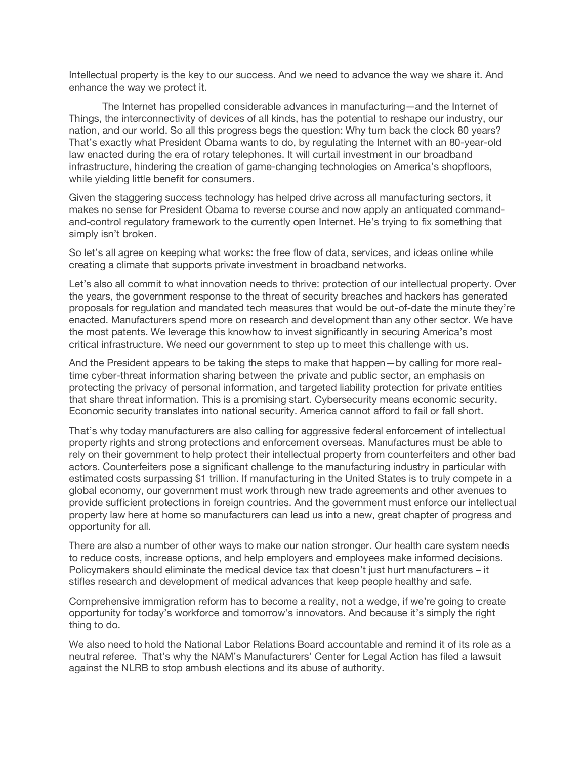Intellectual property is the key to our success. And we need to advance the way we share it. And enhance the way we protect it.

 The Internet has propelled considerable advances in manufacturing—and the Internet of Things, the interconnectivity of devices of all kinds, has the potential to reshape our industry, our nation, and our world. So all this progress begs the question: Why turn back the clock 80 years? That's exactly what President Obama wants to do, by regulating the Internet with an 80-year-old law enacted during the era of rotary telephones. It will curtail investment in our broadband infrastructure, hindering the creation of game-changing technologies on America's shopfloors, while yielding little benefit for consumers.

Given the staggering success technology has helped drive across all manufacturing sectors, it makes no sense for President Obama to reverse course and now apply an antiquated commandand-control regulatory framework to the currently open Internet. He's trying to fix something that simply isn't broken.

So let's all agree on keeping what works: the free flow of data, services, and ideas online while creating a climate that supports private investment in broadband networks.

Let's also all commit to what innovation needs to thrive: protection of our intellectual property. Over the years, the government response to the threat of security breaches and hackers has generated proposals for regulation and mandated tech measures that would be out-of-date the minute they're enacted. Manufacturers spend more on research and development than any other sector. We have the most patents. We leverage this knowhow to invest significantly in securing America's most critical infrastructure. We need our government to step up to meet this challenge with us.

And the President appears to be taking the steps to make that happen—by calling for more realtime cyber-threat information sharing between the private and public sector, an emphasis on protecting the privacy of personal information, and targeted liability protection for private entities that share threat information. This is a promising start. Cybersecurity means economic security. Economic security translates into national security. America cannot afford to fail or fall short.

That's why today manufacturers are also calling for aggressive federal enforcement of intellectual property rights and strong protections and enforcement overseas. Manufactures must be able to rely on their government to help protect their intellectual property from counterfeiters and other bad actors. Counterfeiters pose a significant challenge to the manufacturing industry in particular with estimated costs surpassing \$1 trillion. If manufacturing in the United States is to truly compete in a global economy, our government must work through new trade agreements and other avenues to provide sufficient protections in foreign countries. And the government must enforce our intellectual property law here at home so manufacturers can lead us into a new, great chapter of progress and opportunity for all.

There are also a number of other ways to make our nation stronger. Our health care system needs to reduce costs, increase options, and help employers and employees make informed decisions. Policymakers should eliminate the medical device tax that doesn't just hurt manufacturers – it stifles research and development of medical advances that keep people healthy and safe.

Comprehensive immigration reform has to become a reality, not a wedge, if we're going to create opportunity for today's workforce and tomorrow's innovators. And because it's simply the right thing to do.

We also need to hold the National Labor Relations Board accountable and remind it of its role as a neutral referee. That's why the NAM's Manufacturers' Center for Legal Action has filed a lawsuit against the NLRB to stop ambush elections and its abuse of authority.